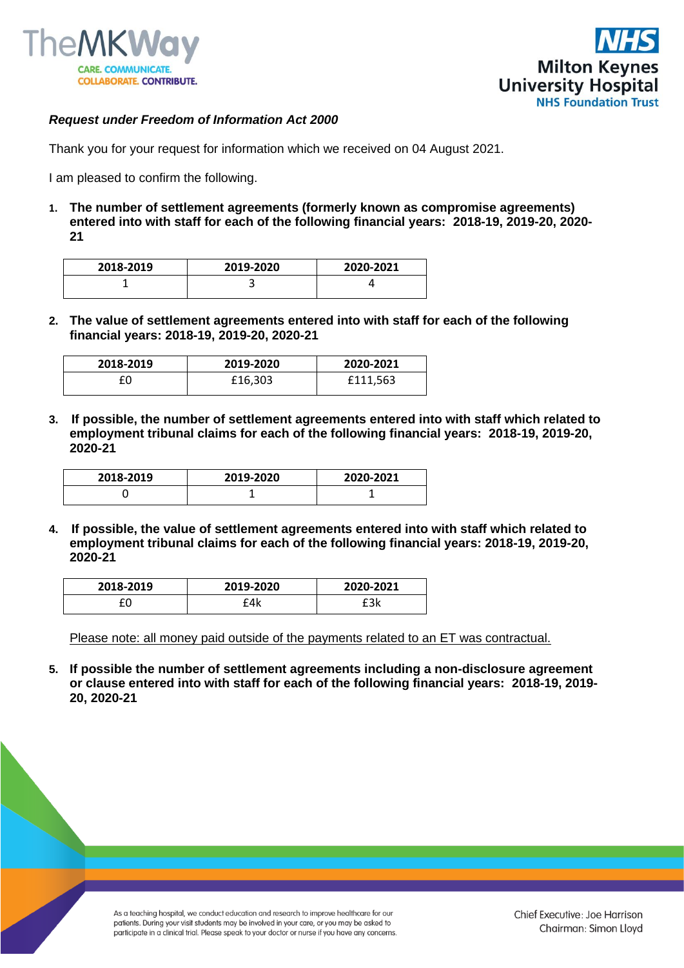



## *Request under Freedom of Information Act 2000*

Thank you for your request for information which we received on 04 August 2021.

I am pleased to confirm the following.

**1. The number of settlement agreements (formerly known as compromise agreements) entered into with staff for each of the following financial years: 2018-19, 2019-20, 2020- 21**

| 2018-2019 | 2019-2020 | 2020-2021 |
|-----------|-----------|-----------|
|           | -         |           |

**2. The value of settlement agreements entered into with staff for each of the following financial years: 2018-19, 2019-20, 2020-21**

| 2018-2019 | 2019-2020 | 2020-2021 |
|-----------|-----------|-----------|
|           | £16,303   | £111.563  |

**3. If possible, the number of settlement agreements entered into with staff which related to employment tribunal claims for each of the following financial years: 2018-19, 2019-20, 2020-21**

| 2018-2019 | 2019-2020 | 2020-2021 |
|-----------|-----------|-----------|
|           |           |           |

**4. If possible, the value of settlement agreements entered into with staff which related to employment tribunal claims for each of the following financial years: 2018-19, 2019-20, 2020-21**

| 2018-2019 | 2019-2020 | 2020-2021 |
|-----------|-----------|-----------|
|           | °4k       | ורח       |

Please note: all money paid outside of the payments related to an ET was contractual.

**5. If possible the number of settlement agreements including a non-disclosure agreement or clause entered into with staff for each of the following financial years: 2018-19, 2019- 20, 2020-21**

> As a teaching hospital, we conduct education and research to improve healthcare for our patients. During your visit students may be involved in your care, or you may be asked to participate in a clinical trial. Please speak to your doctor or nurse if you have any concerns.